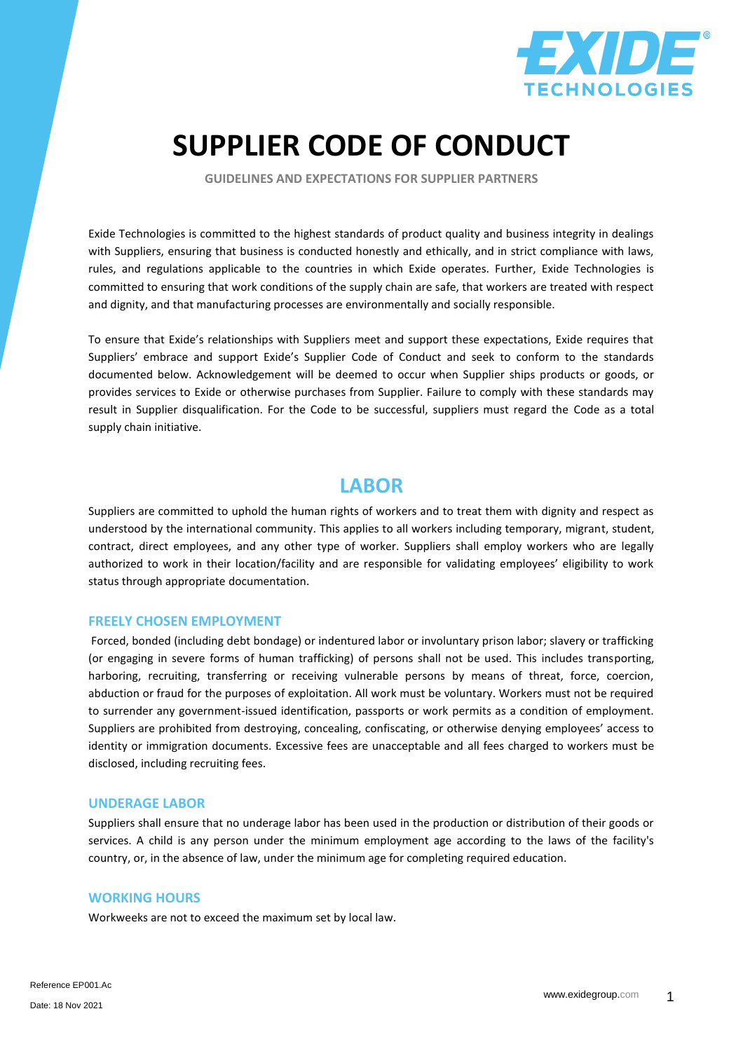

# **SUPPLIER CODE OF CONDUCT**

**GUIDELINES AND EXPECTATIONS FOR SUPPLIER PARTNERS**

Exide Technologies is committed to the highest standards of product quality and business integrity in dealings with Suppliers, ensuring that business is conducted honestly and ethically, and in strict compliance with laws, rules, and regulations applicable to the countries in which Exide operates. Further, Exide Technologies is committed to ensuring that work conditions of the supply chain are safe, that workers are treated with respect and dignity, and that manufacturing processes are environmentally and socially responsible.

To ensure that Exide's relationships with Suppliers meet and support these expectations, Exide requires that Suppliers' embrace and support Exide's Supplier Code of Conduct and seek to conform to the standards documented below. Acknowledgement will be deemed to occur when Supplier ships products or goods, or provides services to Exide or otherwise purchases from Supplier. Failure to comply with these standards may result in Supplier disqualification. For the Code to be successful, suppliers must regard the Code as a total supply chain initiative.

### **LABOR**

Suppliers are committed to uphold the human rights of workers and to treat them with dignity and respect as understood by the international community. This applies to all workers including temporary, migrant, student, contract, direct employees, and any other type of worker. Suppliers shall employ workers who are legally authorized to work in their location/facility and are responsible for validating employees' eligibility to work status through appropriate documentation.

#### **FREELY CHOSEN EMPLOYMENT**

Forced, bonded (including debt bondage) or indentured labor or involuntary prison labor; slavery or trafficking (or engaging in severe forms of human trafficking) of persons shall not be used. This includes transporting, harboring, recruiting, transferring or receiving vulnerable persons by means of threat, force, coercion, abduction or fraud for the purposes of exploitation. All work must be voluntary. Workers must not be required to surrender any government-issued identification, passports or work permits as a condition of employment. Suppliers are prohibited from destroying, concealing, confiscating, or otherwise denying employees' access to identity or immigration documents. Excessive fees are unacceptable and all fees charged to workers must be disclosed, including recruiting fees.

#### **UNDERAGE LABOR**

Suppliers shall ensure that no underage labor has been used in the production or distribution of their goods or services. A child is any person under the minimum employment age according to the laws of the facility's country, or, in the absence of law, under the minimum age for completing required education.

#### **WORKING HOURS**

Workweeks are not to exceed the maximum set by local law.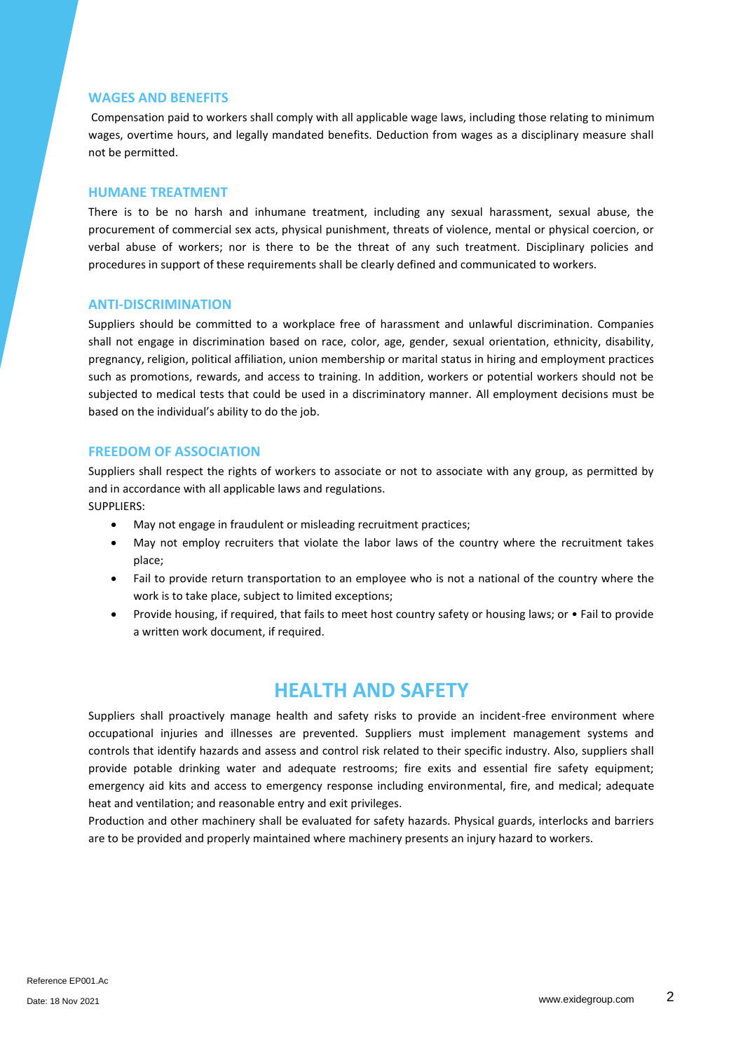#### **WAGES AND BENEFITS**

Compensation paid to workers shall comply with all applicable wage laws, including those relating to minimum wages, overtime hours, and legally mandated benefits. Deduction from wages as a disciplinary measure shall not be permitted.

#### **HUMANE TREATMENT**

There is to be no harsh and inhumane treatment, including any sexual harassment, sexual abuse, the procurement of commercial sex acts, physical punishment, threats of violence, mental or physical coercion, or verbal abuse of workers; nor is there to be the threat of any such treatment. Disciplinary policies and procedures in support of these requirements shall be clearly defined and communicated to workers.

#### **ANTI-DISCRIMINATION**

Suppliers should be committed to a workplace free of harassment and unlawful discrimination. Companies shall not engage in discrimination based on race, color, age, gender, sexual orientation, ethnicity, disability, pregnancy, religion, political affiliation, union membership or marital status in hiring and employment practices such as promotions, rewards, and access to training. In addition, workers or potential workers should not be subjected to medical tests that could be used in a discriminatory manner. All employment decisions must be based on the individual's ability to do the job.

#### **FREEDOM OF ASSOCIATION**

Suppliers shall respect the rights of workers to associate or not to associate with any group, as permitted by and in accordance with all applicable laws and regulations. SUPPLIERS:

- May not engage in fraudulent or misleading recruitment practices;
- May not employ recruiters that violate the labor laws of the country where the recruitment takes place;
- Fail to provide return transportation to an employee who is not a national of the country where the work is to take place, subject to limited exceptions;
- Provide housing, if required, that fails to meet host country safety or housing laws; or Fail to provide a written work document, if required.

### **HEALTH AND SAFETY**

Suppliers shall proactively manage health and safety risks to provide an incident-free environment where occupational injuries and illnesses are prevented. Suppliers must implement management systems and controls that identify hazards and assess and control risk related to their specific industry. Also, suppliers shall provide potable drinking water and adequate restrooms; fire exits and essential fire safety equipment; emergency aid kits and access to emergency response including environmental, fire, and medical; adequate heat and ventilation; and reasonable entry and exit privileges.

Production and other machinery shall be evaluated for safety hazards. Physical guards, interlocks and barriers are to be provided and properly maintained where machinery presents an injury hazard to workers.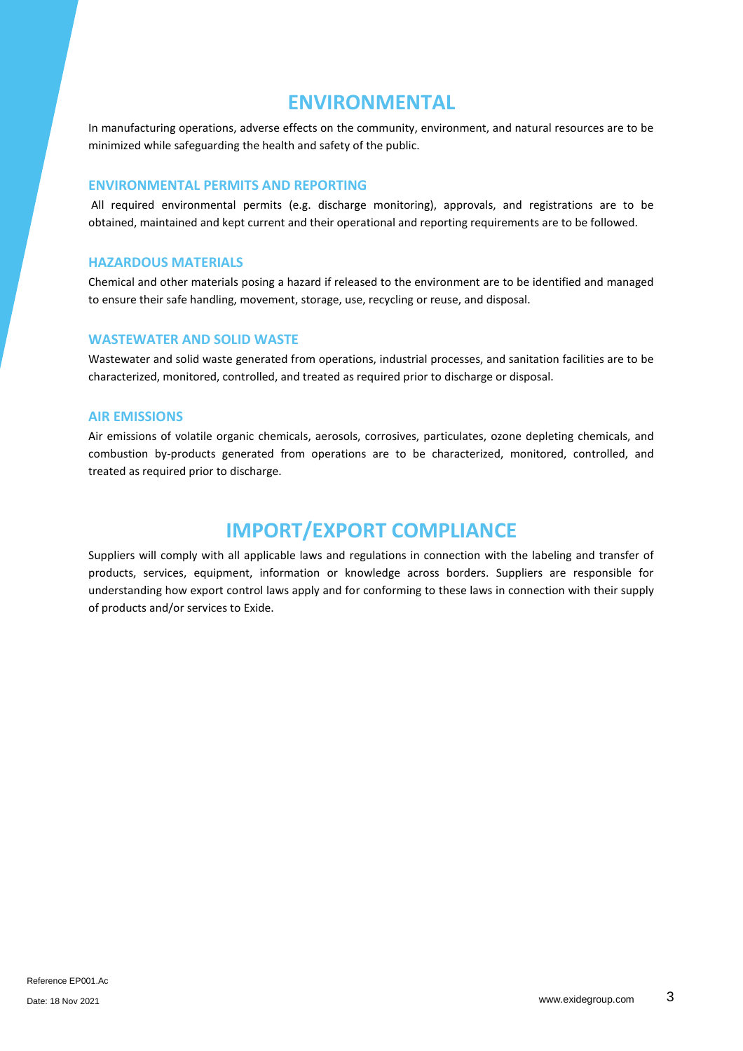### **ENVIRONMENTAL**

In manufacturing operations, adverse effects on the community, environment, and natural resources are to be minimized while safeguarding the health and safety of the public.

#### **ENVIRONMENTAL PERMITS AND REPORTING**

All required environmental permits (e.g. discharge monitoring), approvals, and registrations are to be obtained, maintained and kept current and their operational and reporting requirements are to be followed.

#### **HAZARDOUS MATERIALS**

Chemical and other materials posing a hazard if released to the environment are to be identified and managed to ensure their safe handling, movement, storage, use, recycling or reuse, and disposal.

#### **WASTEWATER AND SOLID WASTE**

Wastewater and solid waste generated from operations, industrial processes, and sanitation facilities are to be characterized, monitored, controlled, and treated as required prior to discharge or disposal.

#### **AIR EMISSIONS**

Air emissions of volatile organic chemicals, aerosols, corrosives, particulates, ozone depleting chemicals, and combustion by-products generated from operations are to be characterized, monitored, controlled, and treated as required prior to discharge.

# **IMPORT/EXPORT COMPLIANCE**

Suppliers will comply with all applicable laws and regulations in connection with the labeling and transfer of products, services, equipment, information or knowledge across borders. Suppliers are responsible for understanding how export control laws apply and for conforming to these laws in connection with their supply of products and/or services to Exide.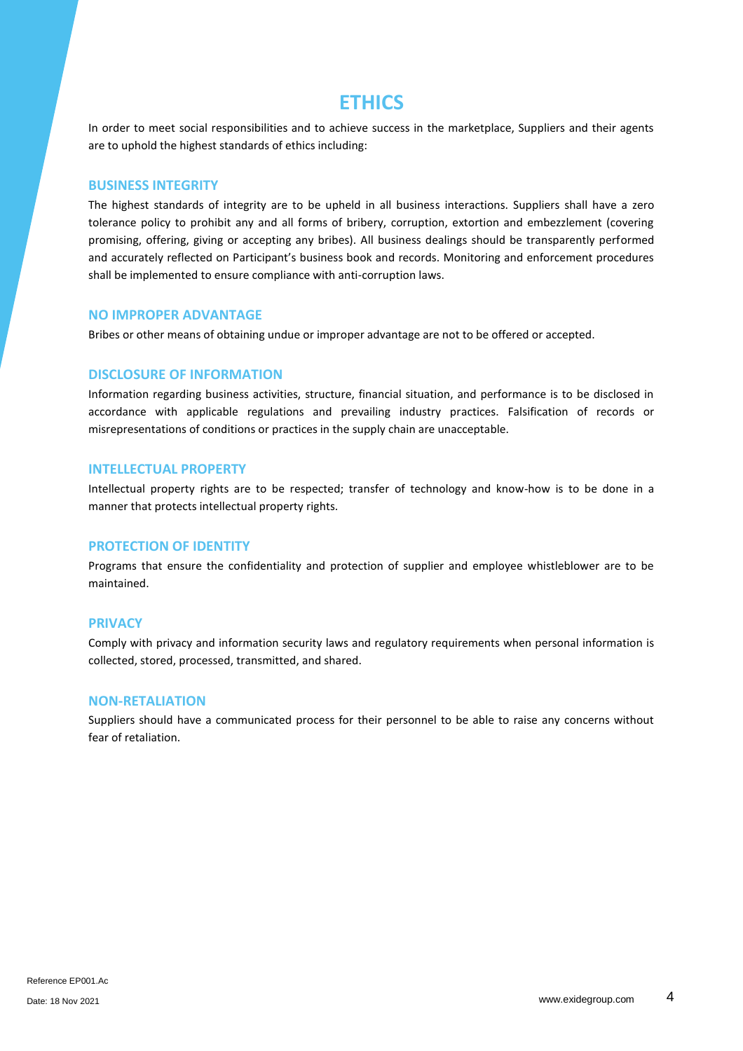### **ETHICS**

In order to meet social responsibilities and to achieve success in the marketplace, Suppliers and their agents are to uphold the highest standards of ethics including:

#### **BUSINESS INTEGRITY**

The highest standards of integrity are to be upheld in all business interactions. Suppliers shall have a zero tolerance policy to prohibit any and all forms of bribery, corruption, extortion and embezzlement (covering promising, offering, giving or accepting any bribes). All business dealings should be transparently performed and accurately reflected on Participant's business book and records. Monitoring and enforcement procedures shall be implemented to ensure compliance with anti-corruption laws.

#### **NO IMPROPER ADVANTAGE**

Bribes or other means of obtaining undue or improper advantage are not to be offered or accepted.

#### **DISCLOSURE OF INFORMATION**

Information regarding business activities, structure, financial situation, and performance is to be disclosed in accordance with applicable regulations and prevailing industry practices. Falsification of records or misrepresentations of conditions or practices in the supply chain are unacceptable.

#### **INTELLECTUAL PROPERTY**

Intellectual property rights are to be respected; transfer of technology and know-how is to be done in a manner that protects intellectual property rights.

#### **PROTECTION OF IDENTITY**

Programs that ensure the confidentiality and protection of supplier and employee whistleblower are to be maintained.

#### **PRIVACY**

Comply with privacy and information security laws and regulatory requirements when personal information is collected, stored, processed, transmitted, and shared.

#### **NON-RETALIATION**

Suppliers should have a communicated process for their personnel to be able to raise any concerns without fear of retaliation.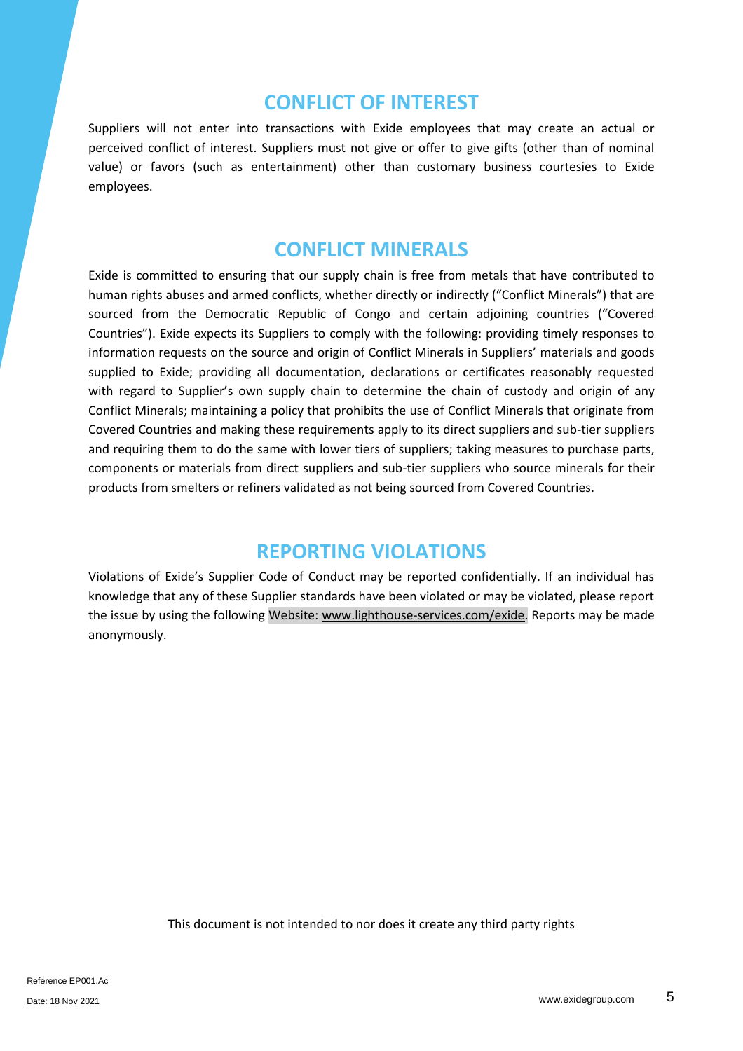### **CONFLICT OF INTEREST**

Suppliers will not enter into transactions with Exide employees that may create an actual or perceived conflict of interest. Suppliers must not give or offer to give gifts (other than of nominal value) or favors (such as entertainment) other than customary business courtesies to Exide employees.

### **CONFLICT MINERALS**

Exide is committed to ensuring that our supply chain is free from metals that have contributed to human rights abuses and armed conflicts, whether directly or indirectly ("Conflict Minerals") that are sourced from the Democratic Republic of Congo and certain adjoining countries ("Covered Countries"). Exide expects its Suppliers to comply with the following: providing timely responses to information requests on the source and origin of Conflict Minerals in Suppliers' materials and goods supplied to Exide; providing all documentation, declarations or certificates reasonably requested with regard to Supplier's own supply chain to determine the chain of custody and origin of any Conflict Minerals; maintaining a policy that prohibits the use of Conflict Minerals that originate from Covered Countries and making these requirements apply to its direct suppliers and sub-tier suppliers and requiring them to do the same with lower tiers of suppliers; taking measures to purchase parts, components or materials from direct suppliers and sub-tier suppliers who source minerals for their products from smelters or refiners validated as not being sourced from Covered Countries.

# **REPORTING VIOLATIONS**

Violations of Exide's Supplier Code of Conduct may be reported confidentially. If an individual has knowledge that any of these Supplier standards have been violated or may be violated, please report the issue by using the following Website[: www.lighthouse-services.com/exide.](http://www.lighthouse-services.com/exide) Reports may be made anonymously.

This document is not intended to nor does it create any third party rights